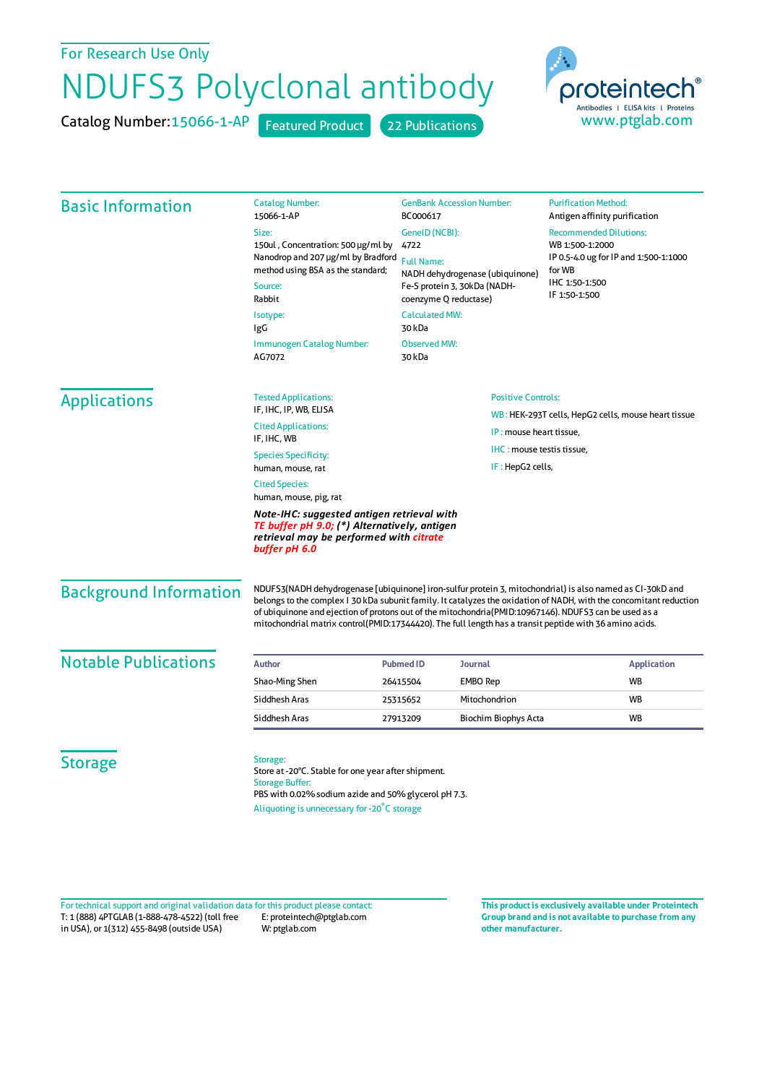## For Research Use Only

## NDUFS3 Polyclonal antibody

Catalog Number: 15066-1-AP Featured Product 22 Publications



| <b>Basic Information</b>      | <b>Catalog Number:</b><br>15066-1-AP                                                                                                                                                                                                                                                                                                                                                                                                                | <b>GenBank Accession Number:</b><br>BC000617         |                                                                                | <b>Purification Method:</b><br>Antigen affinity purification |                    |
|-------------------------------|-----------------------------------------------------------------------------------------------------------------------------------------------------------------------------------------------------------------------------------------------------------------------------------------------------------------------------------------------------------------------------------------------------------------------------------------------------|------------------------------------------------------|--------------------------------------------------------------------------------|--------------------------------------------------------------|--------------------|
|                               | Size:                                                                                                                                                                                                                                                                                                                                                                                                                                               | GeneID (NCBI):                                       |                                                                                | <b>Recommended Dilutions:</b>                                |                    |
|                               | 150ul, Concentration: 500 µg/ml by<br>Nanodrop and 207 µg/ml by Bradford<br>method using BSA as the standard;                                                                                                                                                                                                                                                                                                                                       | 4722                                                 |                                                                                | WB 1:500-1:2000<br>IP 0.5-4.0 ug for IP and 1:500-1:1000     |                    |
|                               |                                                                                                                                                                                                                                                                                                                                                                                                                                                     | <b>Full Name:</b><br>NADH dehydrogenase (ubiquinone) |                                                                                | for WB                                                       |                    |
|                               | Source:                                                                                                                                                                                                                                                                                                                                                                                                                                             | Fe-S protein 3, 30kDa (NADH-                         |                                                                                | IHC 1:50-1:500                                               |                    |
|                               | Rabbit                                                                                                                                                                                                                                                                                                                                                                                                                                              | coenzyme Q reductase)                                |                                                                                | IF 1:50-1:500                                                |                    |
|                               | Isotype:<br>IgG                                                                                                                                                                                                                                                                                                                                                                                                                                     | <b>Calculated MW:</b><br>30 kDa                      |                                                                                |                                                              |                    |
|                               | Immunogen Catalog Number:<br>AG7072                                                                                                                                                                                                                                                                                                                                                                                                                 | <b>Observed MW:</b><br>30 kDa                        |                                                                                |                                                              |                    |
| <b>Applications</b>           | <b>Tested Applications:</b>                                                                                                                                                                                                                                                                                                                                                                                                                         |                                                      | <b>Positive Controls:</b>                                                      |                                                              |                    |
|                               | IF, IHC, IP, WB, ELISA                                                                                                                                                                                                                                                                                                                                                                                                                              |                                                      | WB: HEK-293T cells, HepG2 cells, mouse heart tissue<br>IP: mouse heart tissue, |                                                              |                    |
|                               | <b>Cited Applications:</b><br>IF, IHC, WB                                                                                                                                                                                                                                                                                                                                                                                                           |                                                      |                                                                                |                                                              |                    |
|                               | <b>Species Specificity:</b>                                                                                                                                                                                                                                                                                                                                                                                                                         |                                                      | IHC: mouse testis tissue,<br>IF: HepG2 cells,                                  |                                                              |                    |
|                               | human, mouse, rat                                                                                                                                                                                                                                                                                                                                                                                                                                   |                                                      |                                                                                |                                                              |                    |
|                               | <b>Cited Species:</b><br>human, mouse, pig, rat                                                                                                                                                                                                                                                                                                                                                                                                     |                                                      |                                                                                |                                                              |                    |
|                               | Note-IHC: suggested antigen retrieval with<br>TE buffer pH 9.0; (*) Alternatively, antigen<br>retrieval may be performed with citrate<br>buffer pH 6.0                                                                                                                                                                                                                                                                                              |                                                      |                                                                                |                                                              |                    |
| <b>Background Information</b> | NDUFS3(NADH dehydrogenase [ubiquinone] iron-sulfur protein 3, mitochondrial) is also named as CI-30kD and<br>belongs to the complex I 30 kDa subunit family. It catalyzes the oxidation of NADH, with the concomitant reduction<br>of ubiquinone and ejection of protons out of the mitochondria(PMID:10967146). NDUFS3 can be used as a<br>mitochondrial matrix control(PMID:17344420). The full length has a transit peptide with 36 amino acids. |                                                      |                                                                                |                                                              |                    |
| <b>Notable Publications</b>   | <b>Author</b>                                                                                                                                                                                                                                                                                                                                                                                                                                       | <b>Pubmed ID</b>                                     | <b>Journal</b>                                                                 |                                                              | <b>Application</b> |
|                               | Shao-Ming Shen                                                                                                                                                                                                                                                                                                                                                                                                                                      | <b>EMBO Rep</b><br>26415504                          |                                                                                | <b>WB</b>                                                    |                    |
|                               | Siddhesh Aras                                                                                                                                                                                                                                                                                                                                                                                                                                       | 25315652                                             | Mitochondrion                                                                  | <b>WB</b>                                                    |                    |
|                               | Siddhesh Aras                                                                                                                                                                                                                                                                                                                                                                                                                                       | 27913209                                             | Biochim Biophys Acta                                                           | <b>WB</b>                                                    |                    |
| <b>Storage</b>                | Storage:<br>Store at -20°C. Stable for one year after shipment.<br><b>Storage Buffer:</b><br>PBS with 0.02% sodium azide and 50% glycerol pH 7.3.<br>Aliquoting is unnecessary for -20°C storage                                                                                                                                                                                                                                                    |                                                      |                                                                                |                                                              |                    |

T: 1 (888) 4PTGLAB (1-888-478-4522) (toll free in USA), or 1(312) 455-8498 (outside USA) E: proteintech@ptglab.com W: ptglab.com Fortechnical support and original validation data forthis product please contact: **This productis exclusively available under Proteintech**

**Group brand and is not available to purchase from any other manufacturer.**